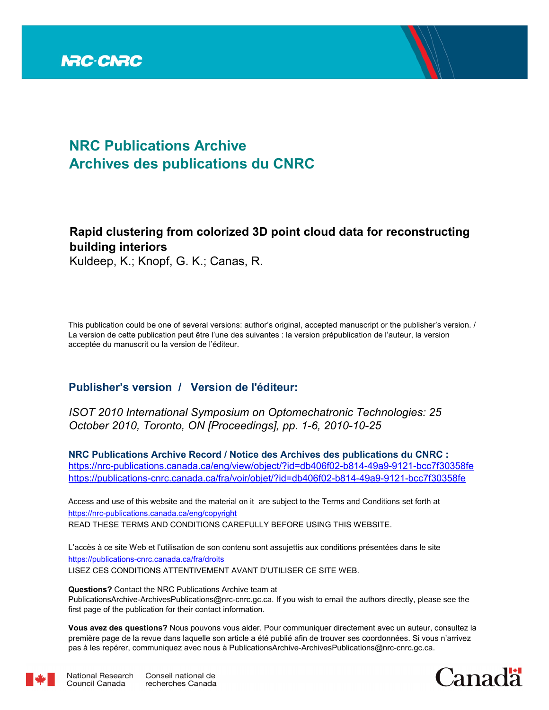

# **NRC Publications Archive Archives des publications du CNRC**

### **Rapid clustering from colorized 3D point cloud data for reconstructing building interiors**

Kuldeep, K.; Knopf, G. K.; Canas, R.

This publication could be one of several versions: author's original, accepted manuscript or the publisher's version. / La version de cette publication peut être l'une des suivantes : la version prépublication de l'auteur, la version acceptée du manuscrit ou la version de l'éditeur.

### **Publisher's version / Version de l'éditeur:**

*ISOT 2010 International Symposium on Optomechatronic Technologies: 25 October 2010, Toronto, ON [Proceedings], pp. 1-6, 2010-10-25*

**NRC Publications Archive Record / Notice des Archives des publications du CNRC :** https://nrc-publications.canada.ca/eng/view/object/?id=db406f02-b814-49a9-9121-bcc7f30358fe https://publications-cnrc.canada.ca/fra/voir/objet/?id=db406f02-b814-49a9-9121-bcc7f30358fe

READ THESE TERMS AND CONDITIONS CAREFULLY BEFORE USING THIS WEBSITE. https://nrc-publications.canada.ca/eng/copyright Access and use of this website and the material on it are subject to the Terms and Conditions set forth at

https://publications-cnrc.canada.ca/fra/droits L'accès à ce site Web et l'utilisation de son contenu sont assujettis aux conditions présentées dans le site LISEZ CES CONDITIONS ATTENTIVEMENT AVANT D'UTILISER CE SITE WEB.

**Questions?** Contact the NRC Publications Archive team at PublicationsArchive-ArchivesPublications@nrc-cnrc.gc.ca. If you wish to email the authors directly, please see the first page of the publication for their contact information.

**Vous avez des questions?** Nous pouvons vous aider. Pour communiquer directement avec un auteur, consultez la première page de la revue dans laquelle son article a été publié afin de trouver ses coordonnées. Si vous n'arrivez pas à les repérer, communiquez avec nous à PublicationsArchive-ArchivesPublications@nrc-cnrc.gc.ca.



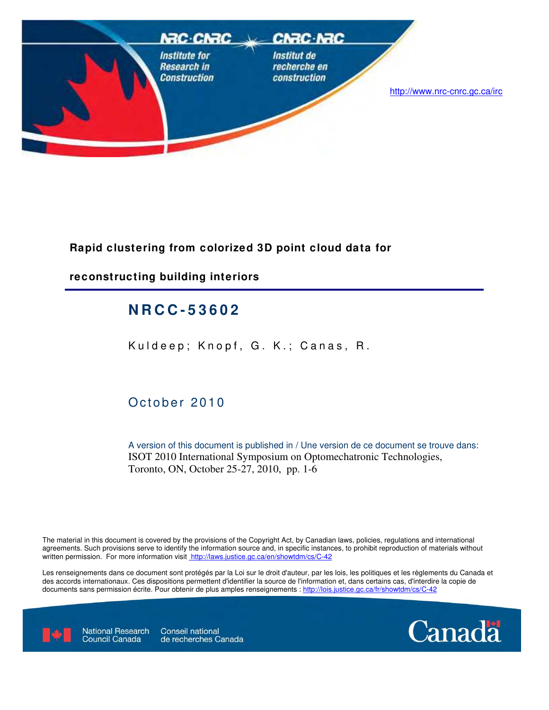

**Rapid clustering from colorized 3D point cloud data for** 

### **reconstructing building interiors**

# **NRCC-53602**

Kuldeep; Knopf, G. K.; Canas, R.

## October 2010

A version of this document is published in / Une version de ce document se trouve dans: ISOT 2010 International Symposium on Optomechatronic Technologies, Toronto, ON, October 25-27, 2010, pp. 1-6

The material in this document is covered by the provisions of the Copyright Act, by Canadian laws, policies, regulations and international agreements. Such provisions serve to identify the information source and, in specific instances, to prohibit reproduction of materials without written permission. For more information visit [http://laws.justice.gc.ca/en/showtdm/cs/C-42](http://laws.justice.gc.ca/en/C-42/index.html)

Les renseignements dans ce document sont protégés par la Loi sur le droit d'auteur, par les lois, les politiques et les règlements du Canada et des accords internationaux. Ces dispositions permettent d'identifier la source de l'information et, dans certains cas, d'interdire la copie de documents sans permission écrite. Pour obtenir de plus amples renseignements :<http://lois.justice.gc.ca/fr/showtdm/cs/C-42>



**National Research** Conseil national **Council Canada** de recherches Canada

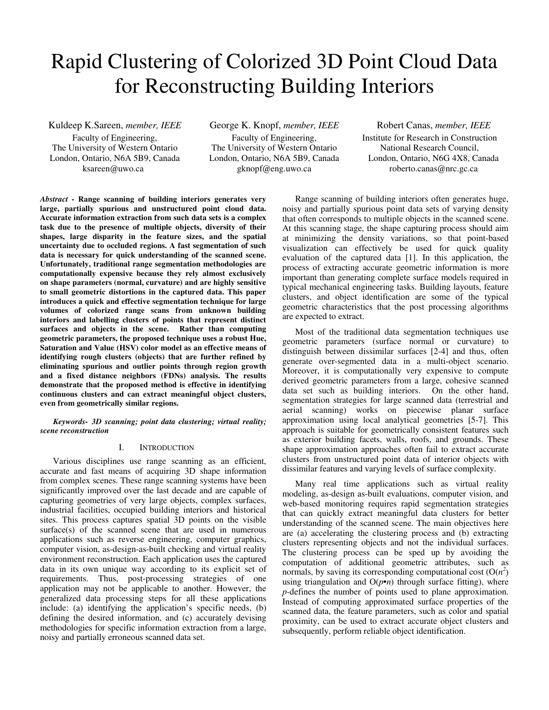# Rapid Clustering of Colorized 3D Point Cloud Data for Reconstructing Building Interiors

Kuldeep K.Sareen, *member, IEEE*

Faculty of Engineering, The University of Western Ontario London, Ontario, N6A 5B9, Canada ksareen@uwo.ca

George K. Knopf, *member, IEEE* Faculty of Engineering, The University of Western Ontario London, Ontario, N6A 5B9, Canada gknopf@eng.uwo.ca

Robert Canas, *member, IEEE* Institute for Research in Construction National Research Council, London, Ontario, N6G 4X8, Canada roberto.canas@nrc.gc.ca

*Abstract* **- Range scanning of building interiors generates very large, partially spurious and unstructured point cloud data. Accurate information extraction from such data sets is a complex task due to the presence of multiple objects, diversity of their shapes, large disparity in the feature sizes, and the spatial uncertainty due to occluded regions. A fast segmentation of such data is necessary for quick understanding of the scanned scene. Unfortunately, traditional range segmentation methodologies are computationally expensive because they rely almost exclusively on shape parameters (normal, curvature) and are highly sensitive to small geometric distortions in the captured data. This paper introduces a quick and effective segmentation technique for large volumes of colorized range scans from unknown building interiors and labelling clusters of points that represent distinct surfaces and objects in the scene. Rather than computing geometric parameters, the proposed technique uses a robust Hue, Saturation and Value (HSV) color model as an effective means of identifying rough clusters (objects) that are further refined by eliminating spurious and outlier points through region growth and a fixed distance neighbors (FDNs) analysis. The results demonstrate that the proposed method is effective in identifying continuous clusters and can extract meaningful object clusters, even from geometrically similar regions.** 

*Keywords- 3D scanning; point data clustering; virtual reality; scene reconstruction* 

#### I. INTRODUCTION

Various disciplines use range scanning as an efficient, accurate and fast means of acquiring 3D shape information from complex scenes. These range scanning systems have been significantly improved over the last decade and are capable of capturing geometries of very large objects, complex surfaces, industrial facilities, occupied building interiors and historical sites. This process captures spatial 3D points on the visible surface(s) of the scanned scene that are used in numerous applications such as reverse engineering, computer graphics, computer vision, as-design-as-built checking and virtual reality environment reconstruction. Each application uses the captured data in its own unique way according to its explicit set of requirements. Thus, post-processing strategies of one application may not be applicable to another. However, the generalized data processing steps for all these applications include: (a) identifying the application's specific needs, (b) defining the desired information, and (c) accurately devising methodologies for specific information extraction from a large, noisy and partially erroneous scanned data set.

Range scanning of building interiors often generates huge, noisy and partially spurious point data sets of varying density that often corresponds to multiple objects in the scanned scene. At this scanning stage, the shape capturing process should aim at minimizing the density variations, so that point-based visualization can effectively be used for quick quality evaluation of the captured data [1]. In this application, the process of extracting accurate geometric information is more important than generating complete surface models required in typical mechanical engineering tasks. Building layouts, feature clusters, and object identification are some of the typical geometric characteristics that the post processing algorithms are expected to extract.

Most of the traditional data segmentation techniques use geometric parameters (surface normal or curvature) to distinguish between dissimilar surfaces [2-4] and thus, often generate over-segmented data in a multi-object scenario. Moreover, it is computationally very expensive to compute derived geometric parameters from a large, cohesive scanned data set such as building interiors. On the other hand, segmentation strategies for large scanned data (terrestrial and aerial scanning) works on piecewise planar surface approximation using local analytical geometries [5-7]. This approach is suitable for geometrically consistent features such as exterior building facets, walls, roofs, and grounds. These shape approximation approaches often fail to extract accurate clusters from unstructured point data of interior objects with dissimilar features and varying levels of surface complexity.

Many real time applications such as virtual reality modeling, as-design as-built evaluations, computer vision, and web-based monitoring requires rapid segmentation strategies that can quickly extract meaningful data clusters for better understanding of the scanned scene. The main objectives here are (a) accelerating the clustering process and (b) extracting clusters representing objects and not the individual surfaces. The clustering process can be sped up by avoiding the computation of additional geometric attributes, such as normals, by saving its corresponding computational cost  $(O(n^2))$ using triangulation and  $O(p \cdot n)$  through surface fitting), where *p-*defines the number of points used to plane approximation. Instead of computing approximated surface properties of the scanned data, the feature parameters, such as color and spatial proximity, can be used to extract accurate object clusters and subsequently, perform reliable object identification.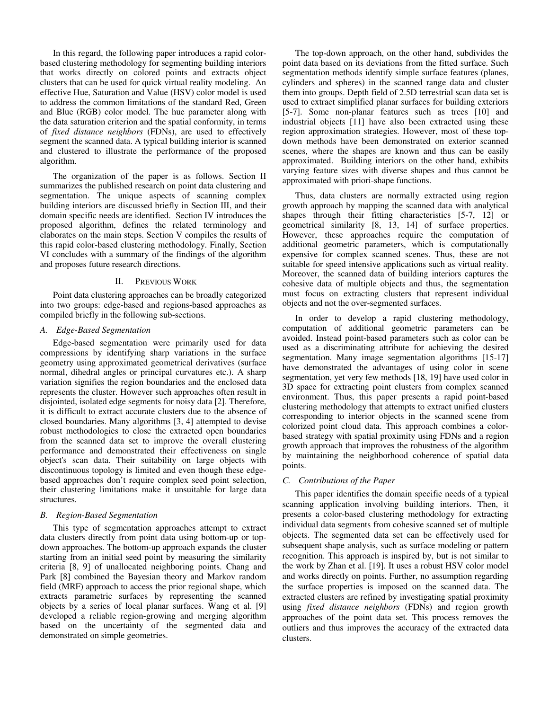In this regard, the following paper introduces a rapid colorbased clustering methodology for segmenting building interiors that works directly on colored points and extracts object clusters that can be used for quick virtual reality modeling. An effective Hue, Saturation and Value (HSV) color model is used to address the common limitations of the standard Red, Green and Blue (RGB) color model. The hue parameter along with the data saturation criterion and the spatial conformity, in terms of *fixed distance neighbors* (FDNs), are used to effectively segment the scanned data. A typical building interior is scanned and clustered to illustrate the performance of the proposed algorithm.

The organization of the paper is as follows. Section II summarizes the published research on point data clustering and segmentation. The unique aspects of scanning complex building interiors are discussed briefly in Section III, and their domain specific needs are identified. Section IV introduces the proposed algorithm, defines the related terminology and elaborates on the main steps. Section V compiles the results of this rapid color-based clustering methodology. Finally, Section VI concludes with a summary of the findings of the algorithm and proposes future research directions.

#### II. PREVIOUS WORK

Point data clustering approaches can be broadly categorized into two groups: edge-based and regions-based approaches as compiled briefly in the following sub-sections.

#### *A. Edge-Based Segmentation*

Edge-based segmentation were primarily used for data compressions by identifying sharp variations in the surface geometry using approximated geometrical derivatives (surface normal, dihedral angles or principal curvatures etc.). A sharp variation signifies the region boundaries and the enclosed data represents the cluster. However such approaches often result in disjointed, isolated edge segments for noisy data [2]. Therefore, it is difficult to extract accurate clusters due to the absence of closed boundaries. Many algorithms [3, 4] attempted to devise robust methodologies to close the extracted open boundaries from the scanned data set to improve the overall clustering performance and demonstrated their effectiveness on single object's scan data. Their suitability on large objects with discontinuous topology is limited and even though these edgebased approaches don't require complex seed point selection, their clustering limitations make it unsuitable for large data structures.

#### *B. Region-Based Segmentation*

This type of segmentation approaches attempt to extract data clusters directly from point data using bottom-up or topdown approaches. The bottom-up approach expands the cluster starting from an initial seed point by measuring the similarity criteria [8, 9] of unallocated neighboring points. Chang and Park [8] combined the Bayesian theory and Markov random field (MRF) approach to access the prior regional shape, which extracts parametric surfaces by representing the scanned objects by a series of local planar surfaces. Wang et al. [9] developed a reliable region-growing and merging algorithm based on the uncertainty of the segmented data and demonstrated on simple geometries.

The top-down approach, on the other hand, subdivides the point data based on its deviations from the fitted surface. Such segmentation methods identify simple surface features (planes, cylinders and spheres) in the scanned range data and cluster them into groups. Depth field of 2.5D terrestrial scan data set is used to extract simplified planar surfaces for building exteriors [5-7]. Some non-planar features such as trees [10] and industrial objects [11] have also been extracted using these region approximation strategies. However, most of these topdown methods have been demonstrated on exterior scanned scenes, where the shapes are known and thus can be easily approximated. Building interiors on the other hand, exhibits varying feature sizes with diverse shapes and thus cannot be approximated with priori-shape functions.

Thus, data clusters are normally extracted using region growth approach by mapping the scanned data with analytical shapes through their fitting characteristics [5-7, 12] or geometrical similarity [8, 13, 14] of surface properties. However, these approaches require the computation of additional geometric parameters, which is computationally expensive for complex scanned scenes. Thus, these are not suitable for speed intensive applications such as virtual reality. Moreover, the scanned data of building interiors captures the cohesive data of multiple objects and thus, the segmentation must focus on extracting clusters that represent individual objects and not the over-segmented surfaces.

In order to develop a rapid clustering methodology, computation of additional geometric parameters can be avoided. Instead point-based parameters such as color can be used as a discriminating attribute for achieving the desired segmentation. Many image segmentation algorithms [15-17] have demonstrated the advantages of using color in scene segmentation, yet very few methods [18, 19] have used color in 3D space for extracting point clusters from complex scanned environment. Thus, this paper presents a rapid point-based clustering methodology that attempts to extract unified clusters corresponding to interior objects in the scanned scene from colorized point cloud data. This approach combines a colorbased strategy with spatial proximity using FDNs and a region growth approach that improves the robustness of the algorithm by maintaining the neighborhood coherence of spatial data points.

#### *C. Contributions of the Paper*

This paper identifies the domain specific needs of a typical scanning application involving building interiors. Then, it presents a color-based clustering methodology for extracting individual data segments from cohesive scanned set of multiple objects. The segmented data set can be effectively used for subsequent shape analysis, such as surface modeling or pattern recognition. This approach is inspired by, but is not similar to the work by Zhan et al. [19]. It uses a robust HSV color model and works directly on points. Further, no assumption regarding the surface properties is imposed on the scanned data. The extracted clusters are refined by investigating spatial proximity using *fixed distance neighbors* (FDNs) and region growth approaches of the point data set. This process removes the outliers and thus improves the accuracy of the extracted data clusters.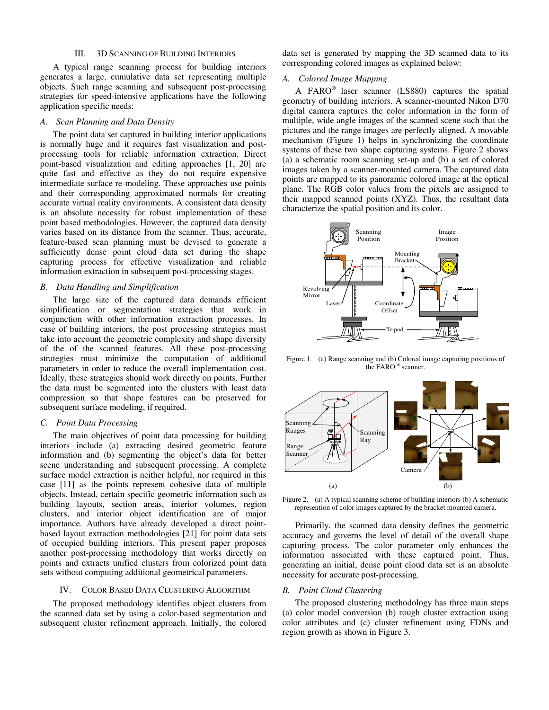#### III. 3D SCANNING OF BUILDING INTERIORS

A typical range scanning process for building interiors generates a large, cumulative data set representing multiple objects. Such range scanning and subsequent post-processing strategies for speed-intensive applications have the following application specific needs:

#### *A. Scan Planning and Data Density*

The point data set captured in building interior applications is normally huge and it requires fast visualization and postprocessing tools for reliable information extraction. Direct point-based visualization and editing approaches [1, 20] are quite fast and effective as they do not require expensive intermediate surface re-modeling. These approaches use points and their corresponding approximated normals for creating accurate virtual reality environments. A consistent data density is an absolute necessity for robust implementation of these point based methodologies. However, the captured data density varies based on its distance from the scanner. Thus, accurate, feature-based scan planning must be devised to generate a sufficiently dense point cloud data set during the shape capturing process for effective visualization and reliable information extraction in subsequent post-processing stages.

#### *B. Data Handling and Simplification*

The large size of the captured data demands efficient simplification or segmentation strategies that work in conjunction with other information extraction processes. In case of building interiors, the post processing strategies must take into account the geometric complexity and shape diversity of the of the scanned features. All these post-processing strategies must minimize the computation of additional parameters in order to reduce the overall implementation cost. Ideally, these strategies should work directly on points. Further the data must be segmented into the clusters with least data compression so that shape features can be preserved for subsequent surface modeling, if required.

#### *C. Point Data Processing*

The main objectives of point data processing for building interiors include (a) extracting desired geometric feature information and (b) segmenting the object's data for better scene understanding and subsequent processing. A complete surface model extraction is neither helpful, nor required in this case [11] as the points represent cohesive data of multiple objects. Instead, certain specific geometric information such as building layouts, section areas, interior volumes, region clusters, and interior object identification are of major importance. Authors have already developed a direct pointbased layout extraction methodologies [21] for point data sets of occupied building interiors. This present paper proposes another post-processing methodology that works directly on points and extracts unified clusters from colorized point data sets without computing additional geometrical parameters.

#### IV. COLOR BASED DATA CLUSTERING ALGORITHM

The proposed methodology identifies object clusters from the scanned data set by using a color-based segmentation and subsequent cluster refinement approach. Initially, the colored data set is generated by mapping the 3D scanned data to its corresponding colored images as explained below:

#### *A. Colored Image Mapping*

A FARO® laser scanner (LS880) captures the spatial geometry of building interiors. A scanner-mounted Nikon D70 digital camera captures the color information in the form of multiple, wide angle images of the scanned scene such that the pictures and the range images are perfectly aligned. A movable mechanism (Figure 1) helps in synchronizing the coordinate systems of these two shape capturing systems. Figure 2 shows (a) a schematic room scanning set-up and (b) a set of colored images taken by a scanner-mounted camera. The captured data points are mapped to its panoramic colored image at the optical plane. The RGB color values from the pixels are assigned to their mapped scanned points (XYZ). Thus, the resultant data characterize the spatial position and its color.



Figure 1. (a) Range scanning and (b) Colored image capturing positions of the FARO ® scanner.



Figure 2. (a) A typical scanning scheme of building interiors (b) A schematic represention of color images captured by the bracket mounted camera.

Primarily, the scanned data density defines the geometric accuracy and governs the level of detail of the overall shape capturing process. The color parameter only enhances the information associated with these captured point. Thus, generating an initial, dense point cloud data set is an absolute necessity for accurate post-processing.

#### *B. Point Cloud Clustering*

The proposed clustering methodology has three main steps (a) color model conversion (b) rough cluster extraction using color attributes and (c) cluster refinement using FDNs and region growth as shown in Figure 3.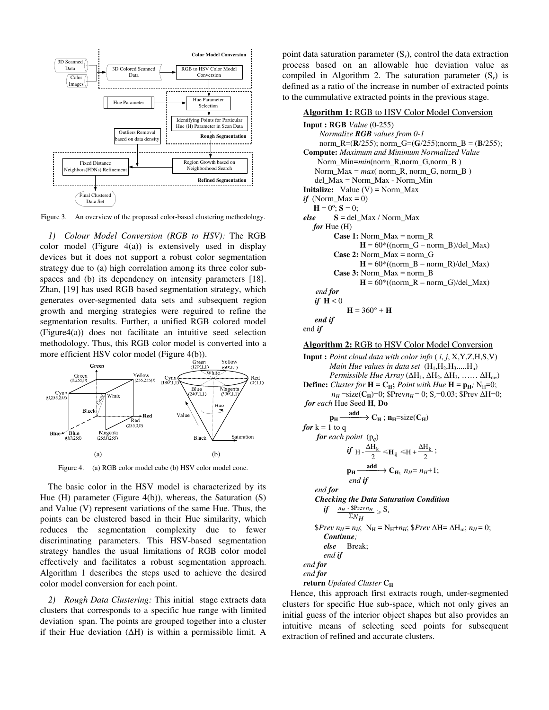

Figure 3. An overview of the proposed color-based clustering methodology.

*1) Colour Model Conversion (RGB to HSV):* The RGB color model (Figure 4(a)) is extensively used in display devices but it does not support a robust color segmentation strategy due to (a) high correlation among its three color subspaces and (b) its dependency on intensity parameters [18]. Zhan, [19] has used RGB based segmentation strategy, which generates over-segmented data sets and subsequent region growth and merging strategies were reguired to refine the segmentation results. Further, a unified RGB colored model (Figure4(a)) does not facilitate an intuitive seed selection methodology. Thus, this RGB color model is converted into a more efficient HSV color model (Figure 4(b)).



Figure 4. (a) RGB color model cube (b) HSV color model cone.

The basic color in the HSV model is characterized by its Hue (H) parameter (Figure 4(b)), whereas, the Saturation (S) and Value (V) represent variations of the same Hue. Thus, the points can be clustered based in their Hue similarity, which reduces the segmentation complexity due to fewer discriminating parameters. This HSV-based segmentation strategy handles the usual limitations of RGB color model effectively and facilitates a robust segmentation approach. Algorithm 1 describes the steps used to achieve the desired color model conversion for each point.

*2) Rough Data Clustering:* This initial stage extracts data clusters that corresponds to a specific hue range with limited deviation span. The points are grouped together into a cluster if their Hue deviation  $(ΔH)$  is within a permissible limit. A point data saturation parameter  $(S_r)$ , control the data extraction process based on an allowable hue deviation value as compiled in Algorithm 2. The saturation parameter (S*r*) is defined as a ratio of the increase in number of extracted points to the cummulative extracted points in the previous stage.

#### **Algorithm 1:** RGB to HSV Color Model Conversion

**Input : RGB** *Value* (0-255)  *Normalize RGB values from 0-1*  norm\_R=(**R**/255); norm\_G=(**G**/255);norm\_B = (**B**/255); **Compute:** *Maximum and Minimum Normalized Value*  Norm\_Min=*min*(norm\_R,norm\_G,norm\_B ) Norm\_Max =  $max($  norm\_R, norm\_G, norm\_B  $)$  del\_Max = Norm\_Max - Norm\_Min **Initalize:** Value  $(V)$  = Norm\_Max *if* (Norm\_Max = 0)  $H = 0^\circ$ ; **S** = 0;  $else \qquad S = del\_Max / Norm\_Max$  *for* Hue (H) **Case 1:** Norm\_Max = norm\_R  $H = 60*(\text{norm\_G}-\text{norm\_B})/\text{del\_Max})$  **Case 2:** Norm\_Max = norm\_G  $H = 60*(\text{norm}_B - \text{norm}_R)/\text{del}_M$ Max) **Case 3:** Norm\_Max = norm\_B  $H = 60*(\text{norm\_R} - \text{norm\_G})/\text{del\_Max})$  *end for if* **H** < 0  $H = 360^{\circ} + H$ *end if*  end *if* 

#### **Algorithm 2:** RGB to HSV Color Model Conversion

**Input :** *Point cloud data with color info* ( *i*, *j*, X,Y,Z,H,S,V) *Main Hue values in data set*  $(H_1, H_2, H_3, \ldots, H_n)$ *Permissible Hue Array* ( $\Delta H_1$ ,  $\Delta H_2$ ,  $\Delta H_3$ , ......  $\Delta H_m$ .) **Define:** *Cluster for*  $H = C_H$ ; *Point with Hue*  $H = p_H$ ;  $N_H=0$ ;  $n_H = size(C_H) = 0$ ;  $$Prev_n = 0$ ;  $S_r = 0.03$ ;  $$Prev \Delta H = 0$ ; *for each* Hue Seed **H**, **Do**  $p_H \xrightarrow{\text{add}} C_H$ ;  $n_H$ =size( $C_H$ ) *for*  $k = 1$  to q *for each point* (p*<sup>q</sup>* )  $\int \mathbf{H} \cdot \frac{\Delta H_k}{2} \ll \mathbf{H}_{ij} \ll H + \frac{\Delta H_k}{2};$ 2  $\frac{2}{\sqrt{2}}$  2  $\mathbf{p}_{\mathbf{H}} \longrightarrow \mathbf{C}_{\mathbf{H}}$ ;  $n_H = n_H + 1$ ;  *end if end for Checking the Data Saturation Condition*   $if \frac{n_H - \$$ Prev $n_H > S_r$  $\Sigma N_H$  $$$ *Prev*  $n_H$  =  $n_H$ ;  $N_H$  =  $N_H + n_H$ ;  $$$ *Prev*  $\Delta H$  =  $\Delta H_m$ ;  $n_H$  = 0; *Continue; else* Break; *end if end for end for*  **return** *Updated Cluster* **C<sup>H</sup>**

Hence, this approach first extracts rough, under-segmented clusters for specific Hue sub-space, which not only gives an initial guess of the interior object shapes but also provides an intuitive means of selecting seed points for subsequent extraction of refined and accurate clusters.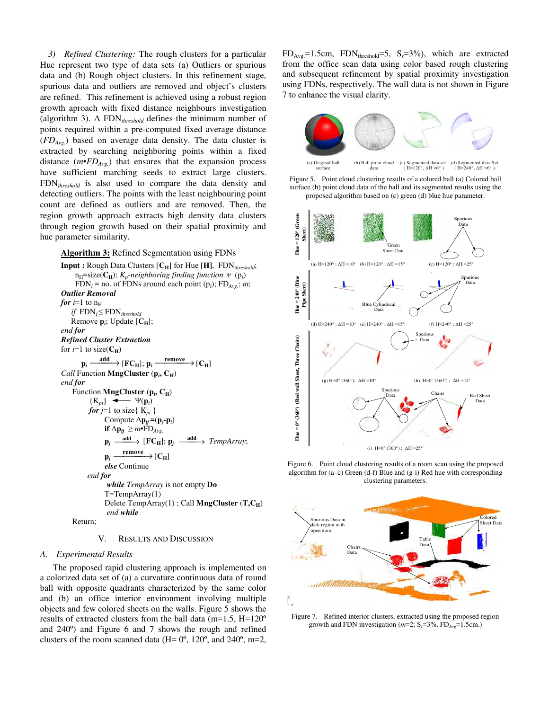*3) Refined Clustering:* The rough clusters for a particular Hue represent two type of data sets (a) Outliers or spurious data and (b) Rough object clusters. In this refinement stage, spurious data and outliers are removed and object's clusters are refined. This refinement is achieved using a robust region growth aproach with fixed distance neighbours investigation (algorithm 3). A FDN*threshold* defines the minimum number of points required within a pre-computed fixed average distance (*FDAvg.*) based on average data density. The data cluster is extracted by searching neighboring points within a fixed distance (*m*•*FDAvg.*) that ensures that the expansion process have sufficient marching seeds to extract large clusters. FDN*threshold* is also used to compare the data density and detecting outliers. The points with the least neighbouring point count are defined as outliers and are removed. Then, the region growth approach extracts high density data clusters through region growth based on their spatial proximity and hue parameter similarity.

#### **Algorithm 3:** Refined Segmentation using FDNs

**Input :** Rough Data Clusters [**CH**] for Hue [**H]**, FDN*threshold*;  $n_H$ =size( $C_H$ );  $K_p$ -neighboring finding function  $\Psi$  (p<sub>i</sub>)  $FDN_i$  = no. of FDNs around each point ( $p_i$ );  $FD_{Avg}$ ; *m*; *Outlier Removal for*  $i=1$  to  $n_H$ *if* FDN<sub>*i*</sub>≤FDN<sub>threshold</sub> Remove **p***<sup>i</sup>* ; Update [**CH**]; *end for Refined Cluster Extraction*  for  $i=1$  to size( $C_H$ )  $\mathbf{p}_i \longrightarrow \text{[FC}_H]; \mathbf{p}_i \longrightarrow \text{remove}$ *Call* Function **MngCluster** (**p***<sup>i</sup>* **, CH**) *end for*  Function **MngCluster** ( $\mathbf{p}_i$ ,  $\mathbf{C}_{\mathbf{H}}$ )  $\{K_{pi}\}\leftarrow \Psi(\mathbf{p}_i)$ *for*  $j=1$  to size{  $K_{pi}$  } Compute  $\Delta \mathbf{p}_{ij} = (\mathbf{p}_j - \mathbf{p}_i)$ **if**  $\Delta p_{ij} \geq m \cdot FD_{Avg}$ .  $\rightarrow$  [FC<sub>H</sub>];  $p_j \xrightarrow{\text{add}}$  *TempArray*;  $\mathbf{p}_i \longrightarrow \text{remove}$   $[\mathbf{C}_{\mathbf{H}}]$ *else* Continue  *end for while TempArray* is not empty **Do**   $T=TempArray(1)$  Delete TempArray(1) ; Call **MngCluster** (**T,CH**)  *end while*  Return;

#### V. RESULTS AND DISCUSSION

#### *A. Experimental Results*

The proposed rapid clustering approach is implemented on a colorized data set of (a) a curvature continuous data of round ball with opposite quadrants characterized by the same color and (b) an office interior environment involving multiple objects and few colored sheets on the walls. Figure 5 shows the results of extracted clusters from the ball data (m=1.5, H=120º and 240º) and Figure 6 and 7 shows the rough and refined clusters of the room scanned data  $(H= 0^{\circ}, 120^{\circ}, \text{ and } 240^{\circ}, \text{m=2},$  FDAvg.=1.5cm, FDNthreshold=5, S*r*=3%), which are extracted from the office scan data using color based rough clustering and subsequent refinement by spatial proximity investigation using FDNs, respectively. The wall data is not shown in Figure 7 to enhance the visual clarity.



Figure 5. Point cloud clustering results of a colored ball (a) Colored ball surface (b) point cloud data of the ball and its segmented results using the proposed algorithm based on (c) green (d) blue hue parameter.



Figure 6. Point cloud clustering results of a room scan using the proposed algorithm for (a–c) Green (d-f) Blue and (g-i) Red hue with corresponding clustering parameters.



Figure 7. Refined interior clusters, extracted using the proposed region growth and FDN investigation  $(m=2; S_r=3\%, FD_{Ave}=1.5cm.)$